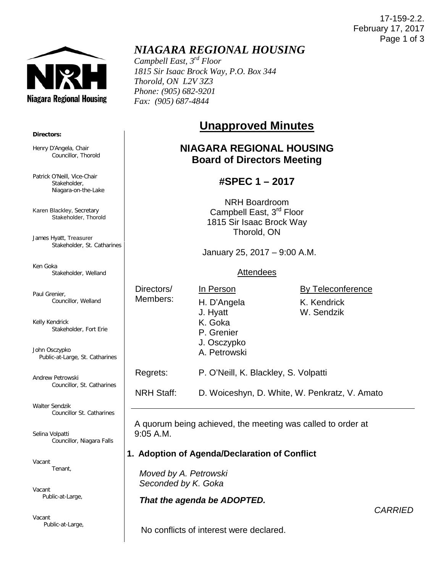17-159-2.2. February 17, 2017 Page 1 of 3



**Directors:**

Henry D'Angela, Chair

Patrick O'Neill, Vice-Chair Stakeholder, Niagara-on-the-Lake

Karen Blackley, Secretary

James Hyatt, Treasurer

Ken Goka

Paul Grenier,

Stakeholder, Thorold

Stakeholder, Welland

Councillor, Welland

Stakeholder, St. Catharines

Councillor, Thorold

## *NIAGARA REGIONAL HOUSING*

*Campbell East, 3rd Floor 1815 Sir Isaac Brock Way, P.O. Box 344 Thorold, ON L2V 3Z3 Phone: (905) 682-9201 Fax: (905) 687-4844*

# **Unapproved Minutes**

## **NIAGARA REGIONAL HOUSING Board of Directors Meeting**

### **#SPEC 1 – 2017**

NRH Boardroom Campbell East, 3<sup>rd</sup> Floor 1815 Sir Isaac Brock Way Thorold, ON

January 25, 2017 – 9:00 A.M.

#### **Attendees**

Directors/ Members:

In Person H. D'Angela

> J. Osczypko A. Petrowski

Regrets: P. O'Neill, K. Blackley, S. Volpatti

By Teleconference

W. Sendzik

Kelly Kendrick Stakeholder, Fort Erie

John Osczypko Public-at-Large, St. Catharines

Andrew Petrowski Councillor, St. Catharines

Walter Sendzik Councillor St. Catharines

Selina Volpatti Councillor, Niagara Falls

Vacant Tenant,

Vacant Public-at-Large,

Vacant Public-at-Large, J. Hyatt K. Goka P. Grenier K. Kendrick

9:05 A.M.

A quorum being achieved, the meeting was called to order at

NRH Staff: D. Woiceshyn, D. White, W. Penkratz, V. Amato

#### **1. Adoption of Agenda/Declaration of Conflict**

 *Moved by A. Petrowski Seconded by K. Goka*

#### *That the agenda be ADOPTED.*

*CARRIED*

No conflicts of interest were declared.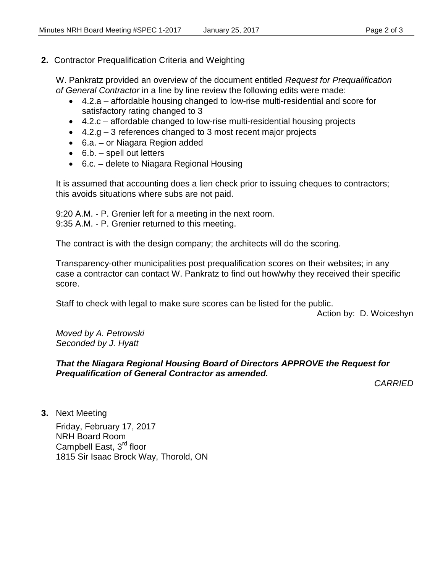#### **2.** Contractor Prequalification Criteria and Weighting

W. Pankratz provided an overview of the document entitled *Request for Prequalification of General Contractor* in a line by line review the following edits were made:

- 4.2.a affordable housing changed to low-rise multi-residential and score for satisfactory rating changed to 3
- 4.2.c affordable changed to low-rise multi-residential housing projects
- $\bullet$  4.2.g 3 references changed to 3 most recent major projects
- 6.a. or Niagara Region added
- 6.b. spell out letters
- 6.c. delete to Niagara Regional Housing

It is assumed that accounting does a lien check prior to issuing cheques to contractors; this avoids situations where subs are not paid.

9:20 A.M. - P. Grenier left for a meeting in the next room. 9:35 A.M. - P. Grenier returned to this meeting.

The contract is with the design company; the architects will do the scoring.

Transparency-other municipalities post prequalification scores on their websites; in any case a contractor can contact W. Pankratz to find out how/why they received their specific score.

Staff to check with legal to make sure scores can be listed for the public.

Action by: D. Woiceshyn

*Moved by A. Petrowski Seconded by J. Hyatt*

#### *That the Niagara Regional Housing Board of Directors APPROVE the Request for Prequalification of General Contractor as amended.*

*CARRIED*

**3.** Next Meeting

Friday, February 17, 2017 NRH Board Room Campbell East, 3<sup>rd</sup> floor 1815 Sir Isaac Brock Way, Thorold, ON